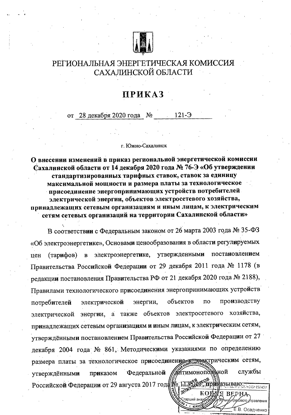

## РЕГИОНАЛЬНАЯ ЭНЕРГЕТИЧЕСКАЯ КОМИССИЯ САХАЛИНСКОЙ ОБЛАСТИ

## **ПРИКАЗ**

 $121 - 5$ от 28 декабря 2020 года №

г. Южно-Сахалинск

О внесении изменений в приказ региональной энергетической комиссии Сахалинской области от 14 декабря 2020 года № 76-Э «Об утверждении стандартизированных тарифных ставок, ставок за единицу максимальной мощности и размера платы за технологическое присоединение энергопринимающих устройств потребителей электрической энергии, объектов электросетевого хозяйства, принадлежащих сетевым организациям и иным лицам, к электрическим сетям сетевых организаций на территории Сахалинской области»

В соответствии с Федеральным законом от 26 марта 2003 года № 35-ФЗ «Об электроэнергетике», Основами ценообразования в области регулируемых электроэнергетике, утвержденными постановлением (тарифов)  $\overline{B}$ цен Правительства Российской Федерации от 29 декабря 2011 года № 1178 (в редакции постановления Правительства РФ от 21 декабря 2020 года № 2188), Правилами технологического присоединения энергопринимающих устройств производству объектов  $\overline{10}$ потребителей электрической энергии, энергии, а также объектов электросетевого хозяйства, электрической принадлежащих сетевым организациям и иным лицам, к электрическим сетям, утверждёнными постановлением Правительства Российской Федерации от 27 декабря 2004 года № 861, Методическими указаниями по определению размера платы за технологическое присоединение коллектрическим сетям, **айтимонопоэдной** службы Федеральной приказом утверждёнными Российской Федерации от 29 августа 2017 года рес. 1.138 2015. Привазываю: ВЕРНА

тарший ан

вого Лравления Е.В. Осадченко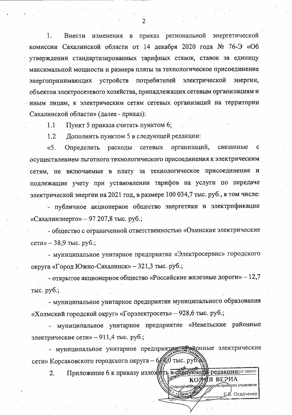$\cdot$ 1. Внести изменения в приказ региональной энергетической комиссии Сахалинской области от 14 декабря 2020 года № 76-Э «Об утверждении стандартизированных тарифных ставок, ставок за единицу максимальной мощности и размера платы за технологическое присоединение электрической потребителей энергопринимающих устройств энергии, объектов электросетевого хозяйства, принадлежащих сетевым организациям и иным лицам, к электрическим сетям сетевых организаций на территории Сахалинской области» (далее - приказ):

 $1.1$ Пункт 5 приказа считать пунктом 6;

 $1.2$ Дополнить пунктом 5 в следующей редакции:

 $\langle$ . организаций, связанные Определить расходы сетевых  $\mathbf{C}$ осуществлением льготного технологического присоединения к электрическим сетям, не включаемые в плату за технологическое присоединение и подлежащие учету при установлении тарифов на услуги по передаче электрической энергии на 2021 год, в размере 100 034,7 тыс. руб., в том числе:

- публичное акционерное общество энергетики и электрификации «Сахалинэнерго» - 97 207,8 тыс. руб.;

- общество с ограниченной ответственностью «Охинские электрические сети» – 38,9 тыс. руб.;

- муниципальное унитарное предприятие «Электросервис» городского округа «Город Южно-Сахалинск» – 321,3 тыс. руб.;

- открытое акционерное общество «Российские железные дороги» - 12,7 тыс. руб.;

- муниципальное унитарное предприятие муниципального образования «Холмский городской округ» «Горэлектросеть» - 928,6 тыс. руб.;

муниципальное унитарное предприятие «Невельские районные электрические сети» - 911,4 тыс. руб.;

- муниципальное унитарное предприяту летей эконные электрические сети» Корсаковского городского округа - 6/ 5/ тыс. руб.

Приложение 6 к приказу изложен в сред  $\overline{2}$ . УЮЩЕй редакции: ОЗ ОБЛАСТИ МЯ ВЕРНА **KO** 

.<br>Старший-анат

TRAKHO-C

поавского управления

Е В. Осадченко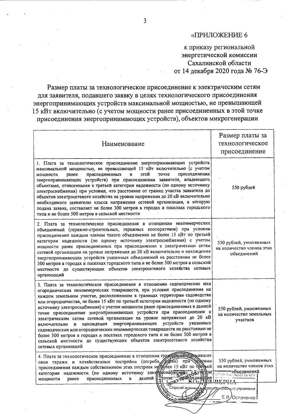## «ПРИЛОЖЕНИЕ 6

к приказу региональной энергетической комиссии Сахалинской области от 14 декабря 2020 года № 76-Э

Размер платы за технологическое присоединение к электрическим сетям для заявителя, подавшего заявку в целях технологического присоединения энергопринимающих устройств максимальной мощностью, не превышающей 15 кВт включительно (с учетом мощности ранее присоединенных в этой точке присоединения энергопринимающих устройств), объектов микрогенерации

| Наименование                                                                                                                                                                                                                                                                                                                                                                                                                                                                                                                                                                                                                                                                                                                                                                                                                                                                                     | Размер платы за<br>технологическое<br>присоединение                                                                                          |
|--------------------------------------------------------------------------------------------------------------------------------------------------------------------------------------------------------------------------------------------------------------------------------------------------------------------------------------------------------------------------------------------------------------------------------------------------------------------------------------------------------------------------------------------------------------------------------------------------------------------------------------------------------------------------------------------------------------------------------------------------------------------------------------------------------------------------------------------------------------------------------------------------|----------------------------------------------------------------------------------------------------------------------------------------------|
| 1. Плата за технологическое присоединение энергопринимающих устройств<br>максимальной мощностью, не превышающей 15 кВт включительно (с учетом<br>присоединения<br>присоединенных<br>этой<br>точке<br>мощности<br>ранее<br>В<br>энергопринимающих устройств) при присоединении заявителя, владеющего<br>объектами, отнесенными к третьей категории надежности (по одному источнику<br>электроснабжения) при условии, что расстояние от границ участка заявителя до<br>объектов электросетевого хозяйства на уровне напряжения до 20 кВ включительно<br>необходимого заявителю класса напряжения сетевой организации, в которую<br>подана заявка, составляет не более 300 метров в городах и поселках городского<br>типа и не более 500 метров в сельской местности                                                                                                                                | 550 рублей                                                                                                                                   |
| 2. Плата за технологическое присоединение в отношении некоммерческих<br>объединений (гаражно-строительных, гаражных кооперативов) при условии<br>присоединения каждым членом такого объединения не более 15 кВт по третьей<br>категории надежности (по одному источнику электроснабжения) с учетом<br>мощности ранее присоединенных при присоединении к электрическим сетям<br>сетевой организации на уровне напряжения до 20 кВ включительно и нахождения<br>энергопринимающих устройств указанных объединений на расстоянии не более<br>300 метров в городах и поселках городского типа и не более 500 метров в сельской<br>местности до существующих объектов электросетевого хозяйства сетевых<br>организаций                                                                                                                                                                                | 550 рублей, умноженных<br>на количество членов этих<br>объединений                                                                           |
| 3. Плата за технологическое присоединение в отношении садоводческих или<br>огороднических некоммерческих товариществ, при условии присоединения на<br>каждом земельном участке, расположенном в границах территории садоводства<br>или огородничества, не более 15 кВт по третьей категории надежности (по одному<br>источнику электроснабжения) с учетом мощности ранее присоединенных в данной<br>точке присоединения энергопринимающих устройств при присоединении к<br>электрическим сетям сетевой организации на уровне напряжения до 20 кВ<br>устройств<br>указанных<br>нахождения энергопринимающих<br>и<br>включительно<br>садоводческих или огороднических некоммерческих товариществ на расстоянии не<br>более 300 метров в городах и поселках городского типа и не более 500 метров в<br>сельской местности до существующих объектов электросетевого хозяйства<br>сетевых организаций | 550 рублей, умноженных<br>на количество земельных<br>участков                                                                                |
| 4. Плата за технологическое присоединение в отношении гражданносте децивших<br><b>УУДОВИИ</b><br>свои гаражи и хозяйственные постройки (погреба, дараи)<br>при<br>присоединения каждым собственником этих построек не фолее 15 кВт по третей<br>категории надежности (по одному источнику элекпроснабжения)<br>$\mathbf{r}$ $\mathbf{r}$ $\mathbf{r}$<br>данной<br>се Кумбисоединения<br>гочке-<br>присоединенных<br>ранее<br>в<br>мощности<br>EARCH'S<br>Старший андны<br>⊺oo                                                                                                                                                                                                                                                                                                                                                                                                                   | 550 рублей, умноженных<br>на количество членов этих<br>объединений<br>ИНОКОИ, СЫЛАСТ,<br>DUDLI<br>сого управления<br>ಾಂದ<br>E.B<br>Осадченко |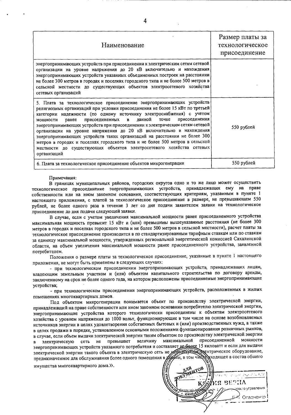| Наименование                                                                                                                                                                                                                                                                                                                                                                                                                                                                                                                                                                                                                                                                                                     | Размер платы за<br>технологическое<br>присоединение |
|------------------------------------------------------------------------------------------------------------------------------------------------------------------------------------------------------------------------------------------------------------------------------------------------------------------------------------------------------------------------------------------------------------------------------------------------------------------------------------------------------------------------------------------------------------------------------------------------------------------------------------------------------------------------------------------------------------------|-----------------------------------------------------|
| энергопринимающих устройств при присоединении к электрическим сетям сетевой<br>организации на уровне напряжения до 20 кВ включительно и нахождения<br>энергопринимающих устройств указанных объединенных построек на расстоянии<br>не более 300 метров в городах и поселках городского типа и не более 500 метров в<br>сельской местности до существующих объектов электросетевого хозяйства<br>сетевых организаций                                                                                                                                                                                                                                                                                              |                                                     |
| 5. Плата за технологическое присоединение энергопринимающих устройств<br>религиозных организаций при условии присоединения не более 15 кВт по третьей<br>категории надежности (по одному источнику электроснабжения) с учетом<br>данной точке<br>присоединения<br>присоединенных в<br>ранее<br>мошности<br>энергопринимающих устройств при присоединении к электрическим сетям сетевой<br>организации на уровне напряжения до 20 кВ включительно и нахождения<br>энергопринимающих устройств таких организаций на расстоянии не более 300<br>метров в городах и поселках городского типа и не более 500 метров в сельской<br>местности до существующих объектов электросетевого хозяйства сетевых<br>организаций | 550 рублей                                          |
| 6. Плата за технологическое присоединение объектов микрогенерации                                                                                                                                                                                                                                                                                                                                                                                                                                                                                                                                                                                                                                                | 550 рублей                                          |

## Примечания:

В границах муниципальных районов, городских округов одно и то же лицо может осуществить технологическое присоединение энергопринимающих устройств, принадлежащих ему на праве собственности или на ином законном основании, соответствующих критериям, указанным в пункте 1 настоящего приложения, с платой за технологическое присоединение в размере, не превышающем 550 рублей, не более одного раза в течение 3 лет со дня подачи заявителем заявки на технологическое присоединение до дня подачи следующей заявки.

В случае, если с учетом увеличения максимальной мощности ранее присоединенного устройства максимальная мощность превысит 15 кВт и (или) превышены вышеуказанные расстояния (не более 300 метров в городах и поселках городского типа и не более 500 метров в сельской местности), расчет платы за технологическое присоединение производится в по стандартизированным тарифным ставкам или по ставкам за единицу максимальной мощности, утвержденных региональной энергетической комиссией Сахалинской области, на объем увеличения максимальной мощности ранее присоединенного устройства, заявленной потребителем.

Положения о размере платы за технологическое присоединение, указанные в пункте 1 настоящего приложения, не могут быть применены в следующих случаях:

- при технологическом присоединении энергопринимающих устройств, принадлежащих лицам, владеющим земельным участком и (или) объектом капитального строительства по договору аренды, заключенному на срок не более одного года, на котором расположены присоединяемые энергопринимающие устройства;

- при технологическом присоединении энергопринимающих устройств, расположенных в жилых помещениях многоквартирных домов.

Под объектом микрогенерации понимается объект по производству электрической энергии, принадлежащий на праве собственности или ином законном основании потребителю электрической энергии, энергопринимающие устройства которого технологически присоединены к объектам электросетевого хозяйства с уровнем напряжения до 1000 вольт, функционирующие в том числе на основе возобновляемых источников энергии в целях удовлетворения собственных бытовых и (или) производственных нужд, а также в целях продажи в порядке, установленном основными положениями функционирования розничных рынков, в случае, если объем выдачи электрической энергии таким объектом по производству электрической энергии максимальной присоединенной МОЩНОСТИ не превышает величину сеть  $\mathbf{B}$ электрическую энергопринимающих устройств указанного потребителя и составляет не более 15 киловатт и если для выдачи электрической энергии такого объекта в электрическую сеть не используется дектрическое оборудование,

имущества многоквартирного дома.».

**NEWIOB** Ang الأكباء الذي الأربعي الأولية الم RF ΤIJΑ всто управления anniy Осалченко 1